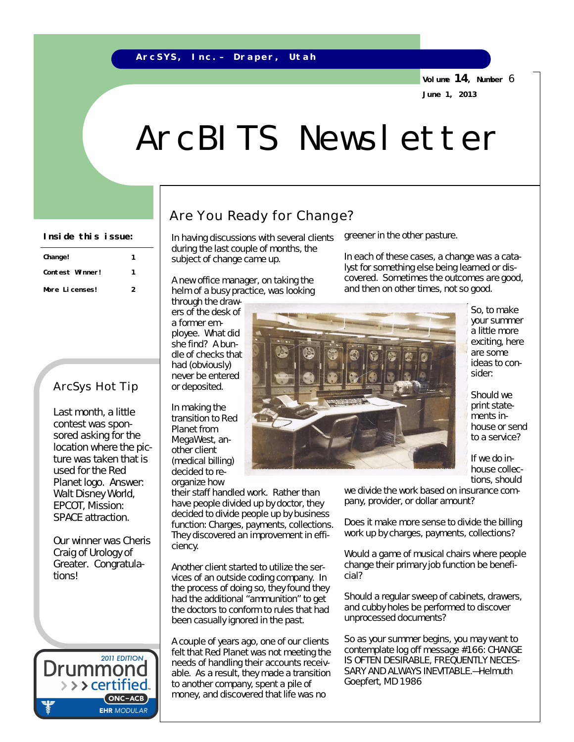#### **A r c S Y S , I n c . – D r a p e r , U t a h**

**Volume 14, Number** 6 **June 1, 2013**

# ArcBITS Newsletter

| Change!         |   |
|-----------------|---|
| Contest Winner! |   |
| More Licenses!  | 2 |

### ArcSys Hot Tip

Last month, a little contest was sponsored asking for the location where the picture was taken that is used for the Red Planet logo. Answer: Walt Disney World, EPCOT, Mission: SPACE attraction.

Our winner was Cheris Craig of Urology of Greater. Congratulations!



### Are You Ready for Change?

Inside this issue: | In having discussions with several clients greener in the other pasture. during the last couple of months, the subject of change came up.

> A new office manager, on taking the helm of a busy practice, was looking through the draw-

ers of the desk of a former employee. What did she find? A bundle of checks that had (obviously) never be entered or deposited.

In making the transition to Red Planet from MegaWest, another client (medical billing) decided to reorganize how

their staff handled work. Rather than have people divided up by doctor, they decided to divide people up by business function: Charges, payments, collections. They discovered an improvement in efficiency.

Another client started to utilize the services of an outside coding company. In the process of doing so, they found they had the additional "ammunition" to get the doctors to conform to rules that had been casually ignored in the past.

A couple of years ago, one of our clients felt that Red Planet was not meeting the needs of handling their accounts receivable. As a result, they made a transition to another company, spent a pile of money, and discovered that life was no

In each of these cases, a change was a catalyst for something else being learned or discovered. Sometimes the outcomes are good, and then on other times, not so good.



So, to make your summer a little more exciting, here are some ideas to consider:

Should we print statements inhouse or send to a service?

If we do inhouse collections, should

we divide the work based on insurance company, provider, or dollar amount?

Does it make more sense to divide the billing work up by charges, payments, collections?

Would a game of musical chairs where people change their primary job function be beneficial?

Should a regular sweep of cabinets, drawers, and cubby holes be performed to discover unprocessed documents?

So as your summer begins, you may want to contemplate log off message #166: *CHANGE IS OFTEN DESIRABLE, FREQUENTLY NECES-SARY AND ALWAYS INEVITABLE.—Helmuth Goepfert, MD 1986*